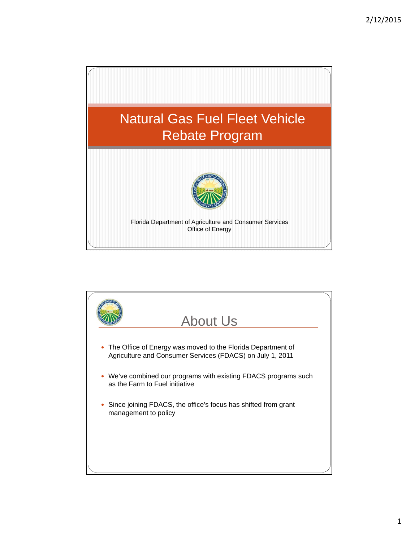

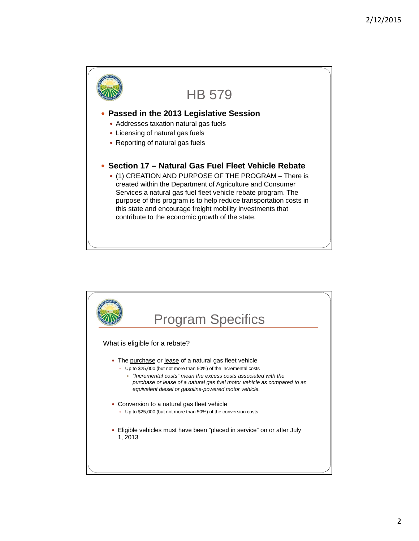

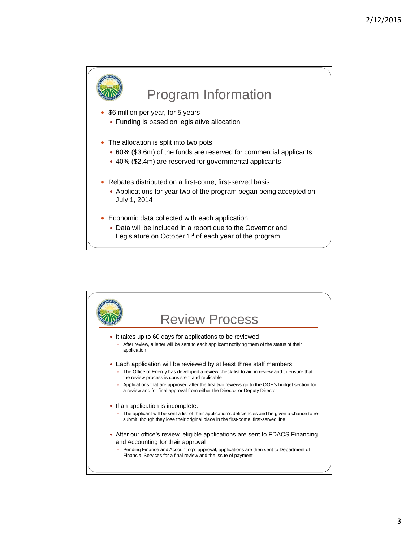

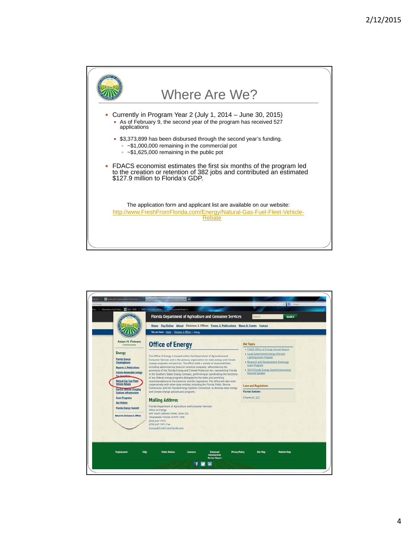

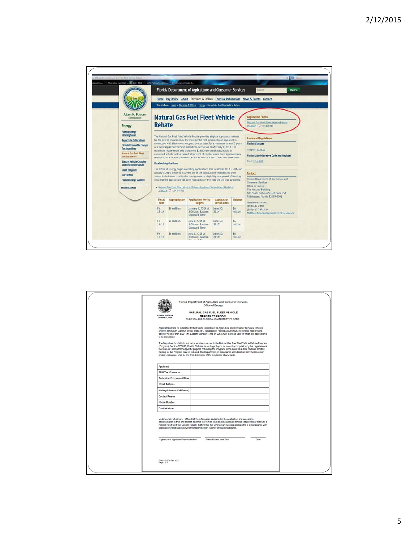

| Florida Department of Agriculture and Consumer Services<br>Office of Energy                                                                                                                                                                                                                                                                                                                                                                                                                                                                        |
|----------------------------------------------------------------------------------------------------------------------------------------------------------------------------------------------------------------------------------------------------------------------------------------------------------------------------------------------------------------------------------------------------------------------------------------------------------------------------------------------------------------------------------------------------|
| NATURAL GAS FUEL FLEET VEHICLE                                                                                                                                                                                                                                                                                                                                                                                                                                                                                                                     |
| <b>ADAM H. PUTNAM</b><br><b>REBATE PROGRAM</b><br><b>COMMISSIONER</b>                                                                                                                                                                                                                                                                                                                                                                                                                                                                              |
| RULE 50-4.001, FLORIDA ADMINISTRATIVE CODE                                                                                                                                                                                                                                                                                                                                                                                                                                                                                                         |
| Applications must be submitted to the Florida Department of Agriculture and Consumer Services, Office of<br>Energy, 600 South Calhoun Street, Suite 251, Tallahassee, Florida 32399-0001, by certified mail or hand-<br>delivery no later than 5:00 P.M. Eastern Standard Time on June 30 of the fiscal year for which this application is<br>to be considered.                                                                                                                                                                                    |
| The Department's ability to authorize rebates pursuant to the Natural Gas Fuel Fleet Vehicle Rebate Program<br>(Program), Section 377.810, Florida Statutes, is contingent upon an annual appropriation by the Legislature of<br>the State of Florida for the specific purpose of funding the Program. In the event of a state revenue shortfall,<br>funding for the Program may be reduced. The Department, in accordance with direction from the Governor<br>and/or Legislature, shall be the final determiner of the availability of any funds. |
| Applicant                                                                                                                                                                                                                                                                                                                                                                                                                                                                                                                                          |
| FEIN/Tax ID Number                                                                                                                                                                                                                                                                                                                                                                                                                                                                                                                                 |
| Authorized Corporate Officer                                                                                                                                                                                                                                                                                                                                                                                                                                                                                                                       |
| <b>Street Address</b>                                                                                                                                                                                                                                                                                                                                                                                                                                                                                                                              |
| Mailing Address (if different)                                                                                                                                                                                                                                                                                                                                                                                                                                                                                                                     |
| <b>Contact Person</b>                                                                                                                                                                                                                                                                                                                                                                                                                                                                                                                              |
| <b>Phone Number</b>                                                                                                                                                                                                                                                                                                                                                                                                                                                                                                                                |
| <b>Email Address</b>                                                                                                                                                                                                                                                                                                                                                                                                                                                                                                                               |
| Under penalty of perjury, I affirm that the information contained in the application and supporting<br>documentation is true and correct, and that the vehicle I am seeking a rebate for has not previously received a<br>Natural Gas Fuel Fleet Vehicle Rebate. I affirm that the vehicle I am seeking a rebate for is in compliance with<br>applicable United States Environmental Protection Agency emission standards.                                                                                                                         |
| Signature of Applicant/Representative<br>Printed Name and Title<br>Date                                                                                                                                                                                                                                                                                                                                                                                                                                                                            |
| FDACS-01976 Rev. 10/13<br>Page 1 of 5                                                                                                                                                                                                                                                                                                                                                                                                                                                                                                              |
|                                                                                                                                                                                                                                                                                                                                                                                                                                                                                                                                                    |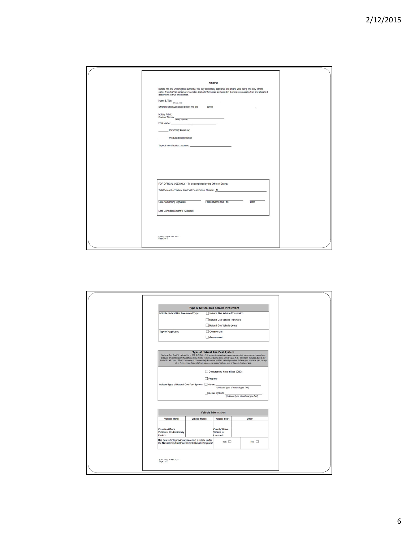| Affidavit                                                                                                                                                                                                                                                       |
|-----------------------------------------------------------------------------------------------------------------------------------------------------------------------------------------------------------------------------------------------------------------|
| Before me, the undersigned authority, this day personally appeared the affant, who being first duly sworn,<br>states from his/her personal knowledge that all information contained in the foregoing application and attached<br>documents is true and correct. |
| Name & Title: $\frac{1}{\sqrt{2\pi} \arctan \rho / \pi \theta}$<br><u> 1989 - Andrea State</u>                                                                                                                                                                  |
| Swom to and Subscribed before me this ______ day of _____________________________                                                                                                                                                                               |
| Notary Public.<br>Notary r www.<br>State of Florida: Notary sprature<br>$\overline{\phantom{a}}$                                                                                                                                                                |
| Personally known or;                                                                                                                                                                                                                                            |
|                                                                                                                                                                                                                                                                 |
| Produced Identification                                                                                                                                                                                                                                         |
|                                                                                                                                                                                                                                                                 |
|                                                                                                                                                                                                                                                                 |
|                                                                                                                                                                                                                                                                 |
|                                                                                                                                                                                                                                                                 |
|                                                                                                                                                                                                                                                                 |
|                                                                                                                                                                                                                                                                 |
| FOR OFFICAL USE ONLY - To be completed by the Office of Energy.<br>Total Amount of Natural Gas Fuel Fleet Vehicle Rebate: \$                                                                                                                                    |
|                                                                                                                                                                                                                                                                 |
| Printed Name and Title<br>OOE Authorizing Signature<br>Date                                                                                                                                                                                                     |
| Date Certification Sent to Applicant: New York Care Control of Sent Library Control of Sent Library Control of Sent Library Control of Sent Library Control of Sent Library Control of Sent Library Control of Sent Library Co                                  |
|                                                                                                                                                                                                                                                                 |
|                                                                                                                                                                                                                                                                 |
|                                                                                                                                                                                                                                                                 |
| FDACS-01976 Rev. 19/13<br>Page 2 of 5                                                                                                                                                                                                                           |
|                                                                                                                                                                                                                                                                 |
|                                                                                                                                                                                                                                                                 |

|                                                                                                           | Type of Natural Gas Vehicle Investment                                                   |                                                        |                                                                                                                                                                                                                                                                                                                                                                               |  |  |
|-----------------------------------------------------------------------------------------------------------|------------------------------------------------------------------------------------------|--------------------------------------------------------|-------------------------------------------------------------------------------------------------------------------------------------------------------------------------------------------------------------------------------------------------------------------------------------------------------------------------------------------------------------------------------|--|--|
| Indicate Natural Gas Investment Type:                                                                     |                                                                                          | Natural Gas Vehicle Conversion                         |                                                                                                                                                                                                                                                                                                                                                                               |  |  |
|                                                                                                           |                                                                                          | Natural Gas Vehicle Purchase                           |                                                                                                                                                                                                                                                                                                                                                                               |  |  |
|                                                                                                           |                                                                                          | Natural Gas Vehicle Lease                              |                                                                                                                                                                                                                                                                                                                                                                               |  |  |
| <b>Type of Applicant:</b>                                                                                 |                                                                                          | Commercial                                             |                                                                                                                                                                                                                                                                                                                                                                               |  |  |
|                                                                                                           |                                                                                          | Government                                             |                                                                                                                                                                                                                                                                                                                                                                               |  |  |
|                                                                                                           | other form of liquefied petroleum gas, compressed natural gas, or liquefied natural gas. | Type of Natural Gas Fuel System                        | "Natural Gao Fuel" is defined by c. 377.810(2)(f), F.S. as any liquefied petroleum gas product, compressed natural gas<br>product, or combination thereof used in a motor vehicle as defined in a 206.01(23), F.S This term includes, but is not<br>limited to, all forms of fuel commonly or commercially known or sold as natural gasoline, butane gas, propane gas, or any |  |  |
|                                                                                                           | Compressed Natural Gas (CNG)                                                             |                                                        |                                                                                                                                                                                                                                                                                                                                                                               |  |  |
| $\Box$ Propane                                                                                            |                                                                                          |                                                        |                                                                                                                                                                                                                                                                                                                                                                               |  |  |
| Indicate Type of Natural Gas Fuel System: [ Other:                                                        |                                                                                          | (indicate type of natural gas fuel)<br>Bi-Fuel System: | (Indicate type of natural gas fuel)                                                                                                                                                                                                                                                                                                                                           |  |  |
|                                                                                                           |                                                                                          |                                                        |                                                                                                                                                                                                                                                                                                                                                                               |  |  |
| Vehicle Information                                                                                       |                                                                                          |                                                        |                                                                                                                                                                                                                                                                                                                                                                               |  |  |
| Vehicle Make:                                                                                             | Vehicle Model:                                                                           | Vehicle Year:                                          | VIN #:                                                                                                                                                                                                                                                                                                                                                                        |  |  |
| <b>Counties Where</b><br>Vehicle is Predominately<br>Fueled:                                              |                                                                                          | <b>County Where</b><br>Vehicle is<br>Licensed:         |                                                                                                                                                                                                                                                                                                                                                                               |  |  |
| Has this vehicle previously received a rebate under<br>the Natural Gas Fuel Fleet Vehicle Rebate Program? |                                                                                          | Yes: $\square$                                         | No: $\Box$                                                                                                                                                                                                                                                                                                                                                                    |  |  |
| FDACS-01976 Rev. 10/13<br>Page 3 of 5                                                                     |                                                                                          |                                                        |                                                                                                                                                                                                                                                                                                                                                                               |  |  |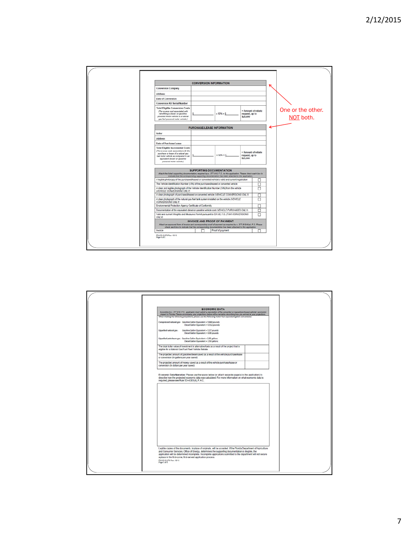|                                                                                                                                                                                                                              | <b>CONVERSION INFORMATION</b>                                                                                                                                                                                                                                                                        |                  |                                                  |        |  |                                |
|------------------------------------------------------------------------------------------------------------------------------------------------------------------------------------------------------------------------------|------------------------------------------------------------------------------------------------------------------------------------------------------------------------------------------------------------------------------------------------------------------------------------------------------|------------------|--------------------------------------------------|--------|--|--------------------------------|
| <b>Conversion Company</b>                                                                                                                                                                                                    |                                                                                                                                                                                                                                                                                                      |                  |                                                  |        |  |                                |
| <b>Address</b>                                                                                                                                                                                                               |                                                                                                                                                                                                                                                                                                      |                  |                                                  |        |  |                                |
| Date of Conversion                                                                                                                                                                                                           |                                                                                                                                                                                                                                                                                                      |                  |                                                  |        |  |                                |
| <b>Conversion Kit Serial Number</b>                                                                                                                                                                                          |                                                                                                                                                                                                                                                                                                      |                  |                                                  |        |  |                                |
| <b>Total Eligible Conversion Costs</b><br>(The excess cost associated with<br>retrofitting a diesel- or gasoline-<br>powered motor vehicle to a natural<br>gas fuel powered motor vehicle.)                                  |                                                                                                                                                                                                                                                                                                      | $x 50\% = $$     | = Amount of rebate<br>request, up to<br>\$25,000 |        |  | One or the other.<br>NOT both. |
|                                                                                                                                                                                                                              | <b>PURCHASE/LEASE INFORMATION</b>                                                                                                                                                                                                                                                                    |                  |                                                  |        |  |                                |
| Seller                                                                                                                                                                                                                       |                                                                                                                                                                                                                                                                                                      |                  |                                                  |        |  |                                |
| <b>Address</b>                                                                                                                                                                                                               |                                                                                                                                                                                                                                                                                                      |                  |                                                  |        |  |                                |
| Date of Purchase'll ease                                                                                                                                                                                                     |                                                                                                                                                                                                                                                                                                      |                  |                                                  |        |  |                                |
| <b>Total Eligible Incremental Costs</b><br>(The excess costs associated with the<br>purchase or lease of a natural gas<br>fuel motor vehicle as compared to an<br>equivalent diesel- or gasoline-<br>powered motor vehicle.) |                                                                                                                                                                                                                                                                                                      | $x 50% = $$      | - Amount of rebate<br>request, up to<br>\$25,000 |        |  |                                |
| Attach the listed supporting documentation, required by a. 377.810, F.S., to this application. Please check each box to                                                                                                      | <b>SUPPORTING DOCUMENTATION</b><br>indicate that the corresponding supporting documentation has been attached to this application.                                                                                                                                                                   |                  |                                                  |        |  |                                |
| A legible photocopy of the purchased/leased or converted vehicle's valid and current registration                                                                                                                            |                                                                                                                                                                                                                                                                                                      |                  |                                                  | □      |  |                                |
| The Vehicle identification Number (VIN) of the purchased/leased or converted vehicle                                                                                                                                         |                                                                                                                                                                                                                                                                                                      |                  |                                                  | П      |  |                                |
| (VEHICLE CONVERSIONS ONLY)                                                                                                                                                                                                   | п<br>A clear and legible photograph of the Vehicle identification Number (VIN) from the vehicle<br>A clear photograph of purchased/leased or converted vehicle (VEH/CLE CONVERSIONS ONLY)<br>п<br>A clear photograph of the natural gas fuel tank system installed on the vehicle (VEHICLE<br>$\Box$ |                  |                                                  |        |  |                                |
|                                                                                                                                                                                                                              |                                                                                                                                                                                                                                                                                                      |                  |                                                  |        |  |                                |
|                                                                                                                                                                                                                              |                                                                                                                                                                                                                                                                                                      |                  |                                                  |        |  |                                |
| CONVERSIONS ONLY!<br>Environmental Protection Agency Certificate of Conformity                                                                                                                                               |                                                                                                                                                                                                                                                                                                      |                  | □                                                |        |  |                                |
| Documentation of the equivalent diesel or gasoline vehicle cost (VEHICLE PURCHASES ONLY)                                                                                                                                     |                                                                                                                                                                                                                                                                                                      | □                |                                                  |        |  |                                |
| Valid and current Weights and Measures Permit pursuant to 531.60, F.S. (TAXI CONVERSIONS<br><b>ONLY!</b>                                                                                                                     |                                                                                                                                                                                                                                                                                                      |                  |                                                  | $\Box$ |  |                                |
| Attach an approved form of invoice and corresponding proof of payment as required by a. 377.810(4)(a), F.S. Please                                                                                                           | <b>INVOICE AND PROOF OF PAYMENT</b><br>check each box to indicate that the corresponding documentation has been attached to this application.                                                                                                                                                        |                  |                                                  |        |  |                                |
| Invoice                                                                                                                                                                                                                      | ┍                                                                                                                                                                                                                                                                                                    | Proof of payment |                                                  | п      |  |                                |

| <b>ECONOMIC DATA</b><br>According to a. 377.810, F.S., applicants must submit a description of the converted or leased/purchased vehicle's economic<br>impact in Florida. Please accompany your projections below with a narrative describing how you arrived at your projections.                                                                                                                         |  |  |  |  |
|------------------------------------------------------------------------------------------------------------------------------------------------------------------------------------------------------------------------------------------------------------------------------------------------------------------------------------------------------------------------------------------------------------|--|--|--|--|
| When making the following projections, please use the following motor fuel equivalent gallon conversions:<br>Compressed natural gas- Gasoline Gallon Equivalent = 5.660 pounds<br>Diesel Gallon Equivalent = 6.312 pounds                                                                                                                                                                                  |  |  |  |  |
| Liquefied natural gas- Gasoline Gallon Equivalent = 5.37 pounds<br>Diesel Gallon Equivalent = 6.06 pounds                                                                                                                                                                                                                                                                                                  |  |  |  |  |
| Liquefied petroleum gas- Gasoline Gallon Equivalent = 1.35 gallons<br>Diesel Gallon Equivalent = 1.50 gallons                                                                                                                                                                                                                                                                                              |  |  |  |  |
| The total dollar value of investment in alternative fuels as a result of the project that is<br>eligible for a Natural Gas Fuel Fleet Vehicle Rebate                                                                                                                                                                                                                                                       |  |  |  |  |
| The projected amount of gasoline/diesel saved as a result of the vehicle purchase/lease<br>or conversion (In gallons per year saved)                                                                                                                                                                                                                                                                       |  |  |  |  |
| The projected amount of money saved as a result of the vehicle purchase/lease or<br>conversion (In dollars per year saved)                                                                                                                                                                                                                                                                                 |  |  |  |  |
| Economic Data Narrative: Please use the space below (or attach separate page(s) to the application) to<br>describe how the projected economic data was calculated. For more information on what economic data is<br>required, please see Rule 50-4.001(4), F.A.C.                                                                                                                                          |  |  |  |  |
|                                                                                                                                                                                                                                                                                                                                                                                                            |  |  |  |  |
|                                                                                                                                                                                                                                                                                                                                                                                                            |  |  |  |  |
|                                                                                                                                                                                                                                                                                                                                                                                                            |  |  |  |  |
|                                                                                                                                                                                                                                                                                                                                                                                                            |  |  |  |  |
|                                                                                                                                                                                                                                                                                                                                                                                                            |  |  |  |  |
|                                                                                                                                                                                                                                                                                                                                                                                                            |  |  |  |  |
|                                                                                                                                                                                                                                                                                                                                                                                                            |  |  |  |  |
| Legible copies of the documents, in place of originals, will be accepted. If the Florida Department of Agriculture<br>and Consumer Services, Office of Energy, determines the supporting documentation is illegible, the<br>application will be determined incomplete. Incomplete applications submitted to the department will not secure<br>a place in the first-come, first-served application process. |  |  |  |  |
| FDACS-01976 Rev. 10/13<br>Page 5 of 5                                                                                                                                                                                                                                                                                                                                                                      |  |  |  |  |
|                                                                                                                                                                                                                                                                                                                                                                                                            |  |  |  |  |